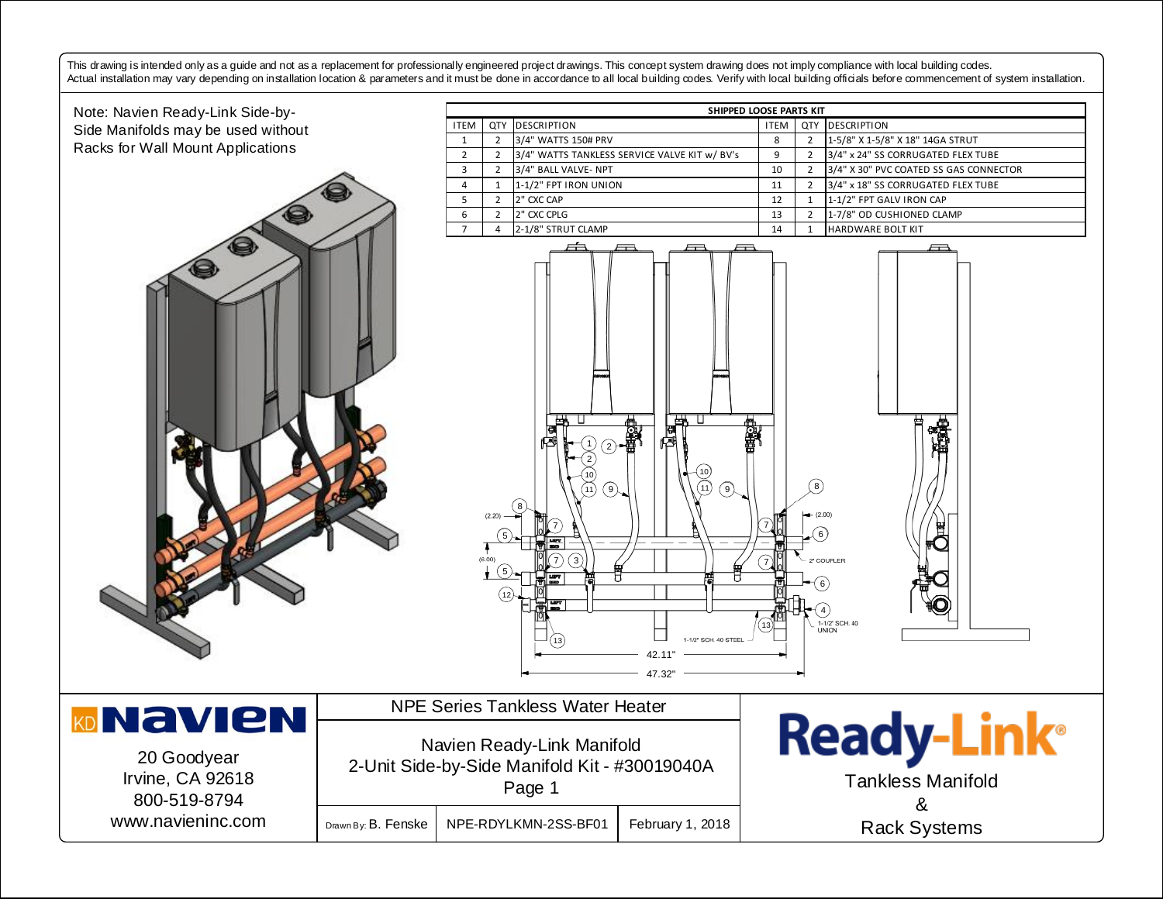This drawing is intended only as a guide and not as a replacement for professionally engineered project drawings. This concept system drawing does not imply compliance with local building codes. Actual installation may vary depending on installation location & parameters and it must be done in accordance to all local building codes. Verify with local building officials before commencement of system installation.

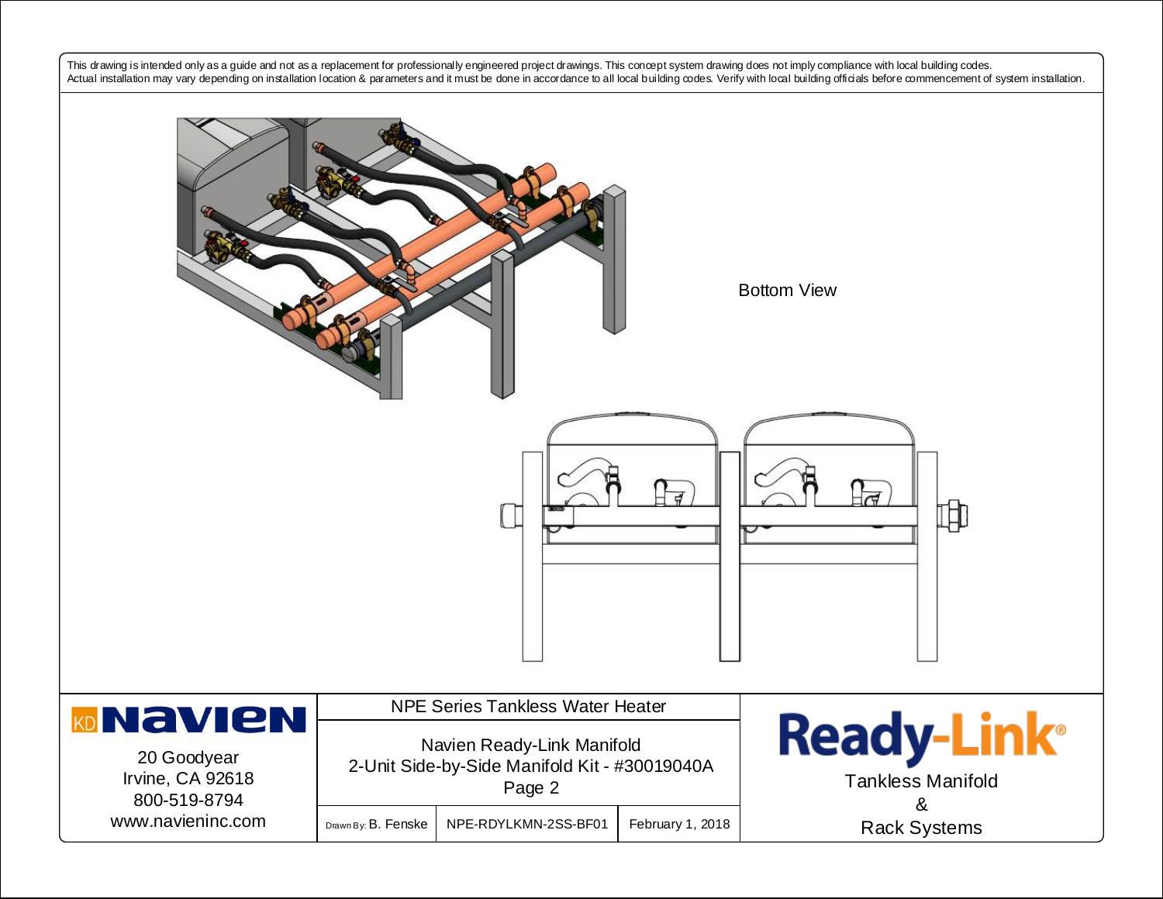This drawing is intended only as a guide and not as a replacement for professionally engineered project drawings. This concept system drawing does not imply compliance with local building codes. Actual installation may vary depending on installation location & parameters and it must be done in accordance to all local building codes. Verify with local building officials before commencement of system installation.